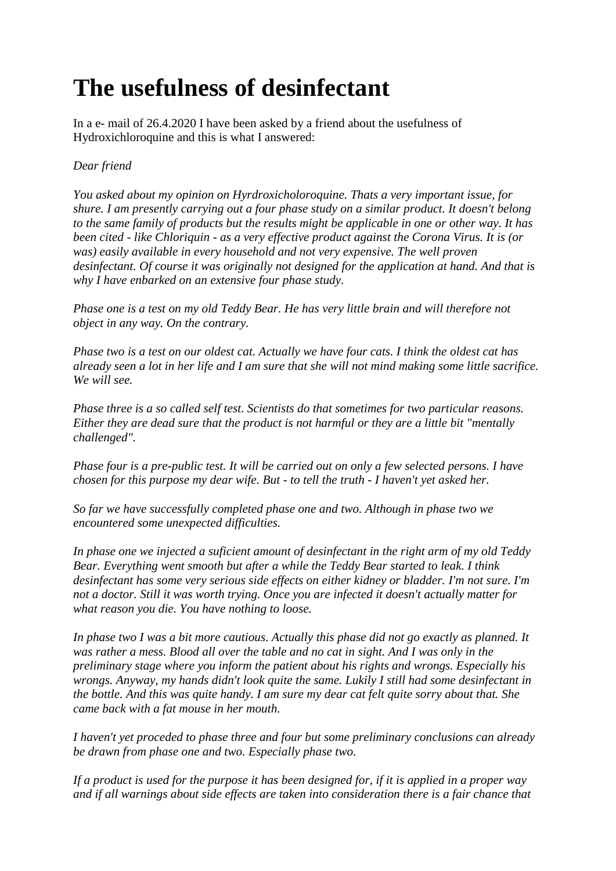## **The usefulness of desinfectant**

In a e- mail of 26.4.2020 I have been asked by a friend about the usefulness of Hydroxichloroquine and this is what I answered:

## *Dear friend*

*You asked about my opinion on Hyrdroxicholoroquine. Thats a very important issue, for shure. I am presently carrying out a four phase study on a similar product. It doesn't belong to the same family of products but the results might be applicable in one or other way. It has been cited - like Chloriquin - as a very effective product against the Corona Virus. It is (or was) easily available in every household and not very expensive. The well proven desinfectant. Of course it was originally not designed for the application at hand. And that is why I have enbarked on an extensive four phase study.*

*Phase one is a test on my old Teddy Bear. He has very little brain and will therefore not object in any way. On the contrary.*

*Phase two is a test on our oldest cat. Actually we have four cats. I think the oldest cat has already seen a lot in her life and I am sure that she will not mind making some little sacrifice. We will see.*

*Phase three is a so called self test. Scientists do that sometimes for two particular reasons. Either they are dead sure that the product is not harmful or they are a little bit "mentally challenged".*

*Phase four is a pre-public test. It will be carried out on only a few selected persons. I have chosen for this purpose my dear wife. But - to tell the truth - I haven't yet asked her.*

*So far we have successfully completed phase one and two. Although in phase two we encountered some unexpected difficulties.*

*In phase one we injected a suficient amount of desinfectant in the right arm of my old Teddy Bear. Everything went smooth but after a while the Teddy Bear started to leak. I think desinfectant has some very serious side effects on either kidney or bladder. I'm not sure. I'm not a doctor. Still it was worth trying. Once you are infected it doesn't actually matter for what reason you die. You have nothing to loose.*

*In phase two I was a bit more cautious. Actually this phase did not go exactly as planned. It was rather a mess. Blood all over the table and no cat in sight. And I was only in the preliminary stage where you inform the patient about his rights and wrongs. Especially his wrongs. Anyway, my hands didn't look quite the same. Lukily I still had some desinfectant in the bottle. And this was quite handy. I am sure my dear cat felt quite sorry about that. She came back with a fat mouse in her mouth.*

*I haven't yet proceded to phase three and four but some preliminary conclusions can already be drawn from phase one and two. Especially phase two.*

*If a product is used for the purpose it has been designed for, if it is applied in a proper way and if all warnings about side effects are taken into consideration there is a fair chance that*